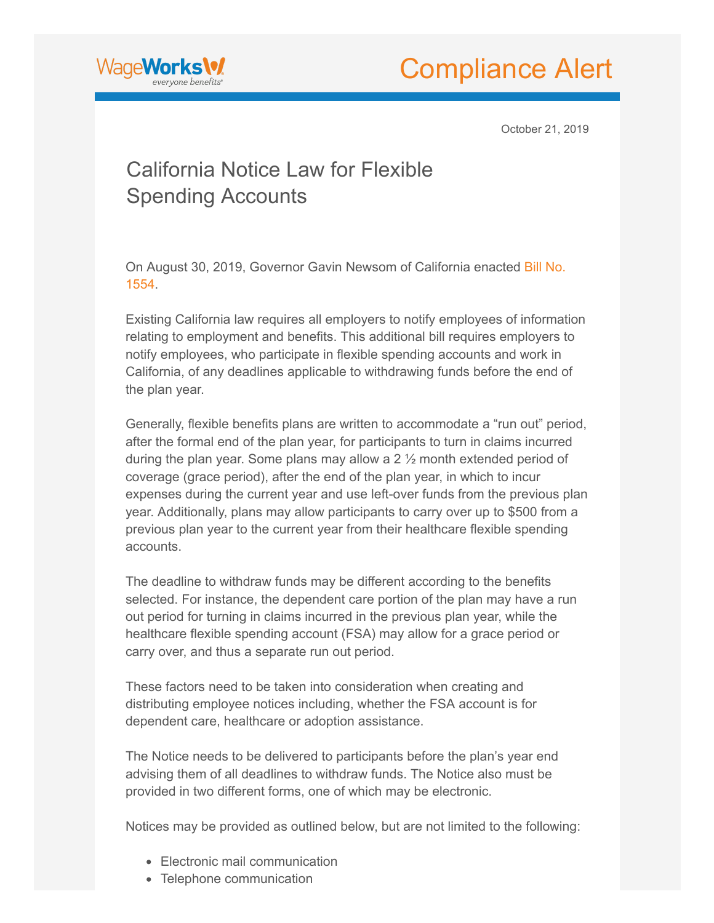



October 21, 2019

## California Notice Law for Flexible Spending Accounts

[On August 30, 2019, Governor Gavin Newsom of California enacted Bill No.](https://www.wageworks.com/media/569585/20190ab1554_95.pdf?elqTrackId=58915879CF218396B3E618ADBD425BF2) 1554.

Existing California law requires all employers to notify employees of information relating to employment and benefits. This additional bill requires employers to notify employees, who participate in flexible spending accounts and work in California, of any deadlines applicable to withdrawing funds before the end of the plan year.

Generally, flexible benefits plans are written to accommodate a "run out" period, after the formal end of the plan year, for participants to turn in claims incurred during the plan year. Some plans may allow a 2 ½ month extended period of coverage (grace period), after the end of the plan year, in which to incur expenses during the current year and use left-over funds from the previous plan year. Additionally, plans may allow participants to carry over up to \$500 from a previous plan year to the current year from their healthcare flexible spending accounts.

The deadline to withdraw funds may be different according to the benefits selected. For instance, the dependent care portion of the plan may have a run out period for turning in claims incurred in the previous plan year, while the healthcare flexible spending account (FSA) may allow for a grace period or carry over, and thus a separate run out period.

These factors need to be taken into consideration when creating and distributing employee notices including, whether the FSA account is for dependent care, healthcare or adoption assistance.

The Notice needs to be delivered to participants before the plan's year end advising them of all deadlines to withdraw funds. The Notice also must be provided in two different forms, one of which may be electronic.

Notices may be provided as outlined below, but are not limited to the following:

- Electronic mail communication
- Telephone communication